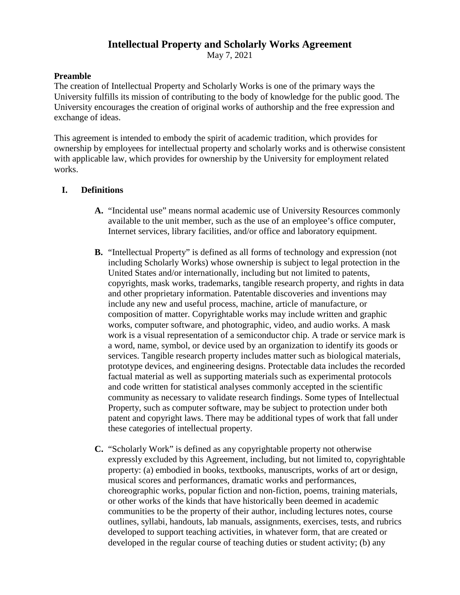# **Intellectual Property and Scholarly Works Agreement**

May 7, 2021

### **Preamble**

The creation of Intellectual Property and Scholarly Works is one of the primary ways the University fulfills its mission of contributing to the body of knowledge for the public good. The University encourages the creation of original works of authorship and the free expression and exchange of ideas.

This agreement is intended to embody the spirit of academic tradition, which provides for ownership by employees for intellectual property and scholarly works and is otherwise consistent with applicable law, which provides for ownership by the University for employment related works.

### **I. Definitions**

- **A.** "Incidental use" means normal academic use of University Resources commonly available to the unit member, such as the use of an employee's office computer, Internet services, library facilities, and/or office and laboratory equipment.
- **B.** "Intellectual Property" is defined as all forms of technology and expression (not including Scholarly Works) whose ownership is subject to legal protection in the United States and/or internationally, including but not limited to patents, copyrights, mask works, trademarks, tangible research property, and rights in data and other proprietary information. Patentable discoveries and inventions may include any new and useful process, machine, article of manufacture, or composition of matter. Copyrightable works may include written and graphic works, computer software, and photographic, video, and audio works. A mask work is a visual representation of a semiconductor chip. A trade or service mark is a word, name, symbol, or device used by an organization to identify its goods or services. Tangible research property includes matter such as biological materials, prototype devices, and engineering designs. Protectable data includes the recorded factual material as well as supporting materials such as experimental protocols and code written for statistical analyses commonly accepted in the scientific community as necessary to validate research findings. Some types of Intellectual Property, such as computer software, may be subject to protection under both patent and copyright laws. There may be additional types of work that fall under these categories of intellectual property.
- **C.** "Scholarly Work" is defined as any copyrightable property not otherwise expressly excluded by this Agreement, including, but not limited to, copyrightable property: (a) embodied in books, textbooks, manuscripts, works of art or design, musical scores and performances, dramatic works and performances, choreographic works, popular fiction and non-fiction, poems, training materials, or other works of the kinds that have historically been deemed in academic communities to be the property of their author, including lectures notes, course outlines, syllabi, handouts, lab manuals, assignments, exercises, tests, and rubrics developed to support teaching activities, in whatever form, that are created or developed in the regular course of teaching duties or student activity; (b) any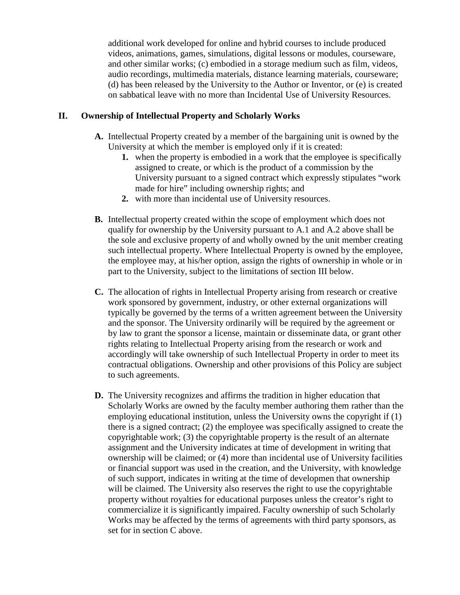additional work developed for online and hybrid courses to include produced videos, animations, games, simulations, digital lessons or modules, courseware, and other similar works; (c) embodied in a storage medium such as film, videos, audio recordings, multimedia materials, distance learning materials, courseware; (d) has been released by the University to the Author or Inventor, or (e) is created on sabbatical leave with no more than Incidental Use of University Resources.

## **II. Ownership of Intellectual Property and Scholarly Works**

- **A.** Intellectual Property created by a member of the bargaining unit is owned by the University at which the member is employed only if it is created:
	- **1.** when the property is embodied in a work that the employee is specifically assigned to create, or which is the product of a commission by the University pursuant to a signed contract which expressly stipulates "work made for hire" including ownership rights; and
	- **2.** with more than incidental use of University resources.
- **B.** Intellectual property created within the scope of employment which does not qualify for ownership by the University pursuant to A.1 and A.2 above shall be the sole and exclusive property of and wholly owned by the unit member creating such intellectual property. Where Intellectual Property is owned by the employee, the employee may, at his/her option, assign the rights of ownership in whole or in part to the University, subject to the limitations of section III below.
- **C.** The allocation of rights in Intellectual Property arising from research or creative work sponsored by government, industry, or other external organizations will typically be governed by the terms of a written agreement between the University and the sponsor. The University ordinarily will be required by the agreement or by law to grant the sponsor a license, maintain or disseminate data, or grant other rights relating to Intellectual Property arising from the research or work and accordingly will take ownership of such Intellectual Property in order to meet its contractual obligations. Ownership and other provisions of this Policy are subject to such agreements.
- **D.** The University recognizes and affirms the tradition in higher education that Scholarly Works are owned by the faculty member authoring them rather than the employing educational institution, unless the University owns the copyright if (1) there is a signed contract; (2) the employee was specifically assigned to create the copyrightable work; (3) the copyrightable property is the result of an alternate assignment and the University indicates at time of development in writing that ownership will be claimed; or (4) more than incidental use of University facilities or financial support was used in the creation, and the University, with knowledge of such support, indicates in writing at the time of developmen that ownership will be claimed. The University also reserves the right to use the copyrightable property without royalties for educational purposes unless the creator's right to commercialize it is significantly impaired. Faculty ownership of such Scholarly Works may be affected by the terms of agreements with third party sponsors, as set for in section C above.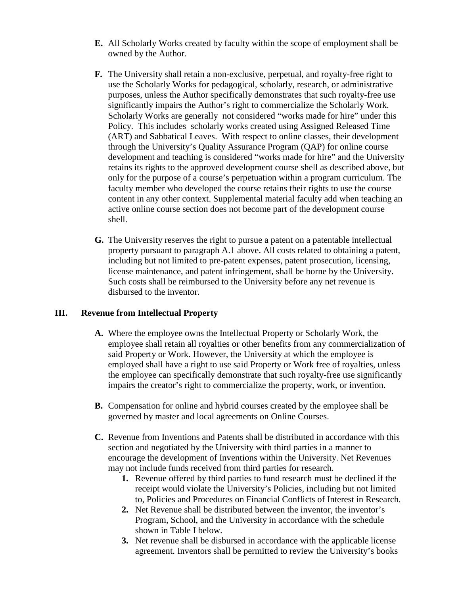- **E.** All Scholarly Works created by faculty within the scope of employment shall be owned by the Author.
- **F.** The University shall retain a non-exclusive, perpetual, and royalty-free right to use the Scholarly Works for pedagogical, scholarly, research, or administrative purposes, unless the Author specifically demonstrates that such royalty-free use significantly impairs the Author's right to commercialize the Scholarly Work. Scholarly Works are generally not considered "works made for hire" under this Policy. This includes scholarly works created using Assigned Released Time (ART) and Sabbatical Leaves. With respect to online classes, their development through the University's Quality Assurance Program (QAP) for online course development and teaching is considered "works made for hire" and the University retains its rights to the approved development course shell as described above, but only for the purpose of a course's perpetuation within a program curriculum. The faculty member who developed the course retains their rights to use the course content in any other context. Supplemental material faculty add when teaching an active online course section does not become part of the development course shell.
- **G.** The University reserves the right to pursue a patent on a patentable intellectual property pursuant to paragraph A.1 above. All costs related to obtaining a patent, including but not limited to pre-patent expenses, patent prosecution, licensing, license maintenance, and patent infringement, shall be borne by the University. Such costs shall be reimbursed to the University before any net revenue is disbursed to the inventor.

#### **III. Revenue from Intellectual Property**

- **A.** Where the employee owns the Intellectual Property or Scholarly Work, the employee shall retain all royalties or other benefits from any commercialization of said Property or Work. However, the University at which the employee is employed shall have a right to use said Property or Work free of royalties, unless the employee can specifically demonstrate that such royalty-free use significantly impairs the creator's right to commercialize the property, work, or invention.
- **B.** Compensation for online and hybrid courses created by the employee shall be governed by master and local agreements on Online Courses.
- **C.** Revenue from Inventions and Patents shall be distributed in accordance with this section and negotiated by the University with third parties in a manner to encourage the development of Inventions within the University. Net Revenues may not include funds received from third parties for research.
	- **1.** Revenue offered by third parties to fund research must be declined if the receipt would violate the University's Policies, including but not limited to, Policies and Procedures on Financial Conflicts of Interest in Research.
	- **2.** Net Revenue shall be distributed between the inventor, the inventor's Program, School, and the University in accordance with the schedule shown in Table I below.
	- **3.** Net revenue shall be disbursed in accordance with the applicable license agreement. Inventors shall be permitted to review the University's books